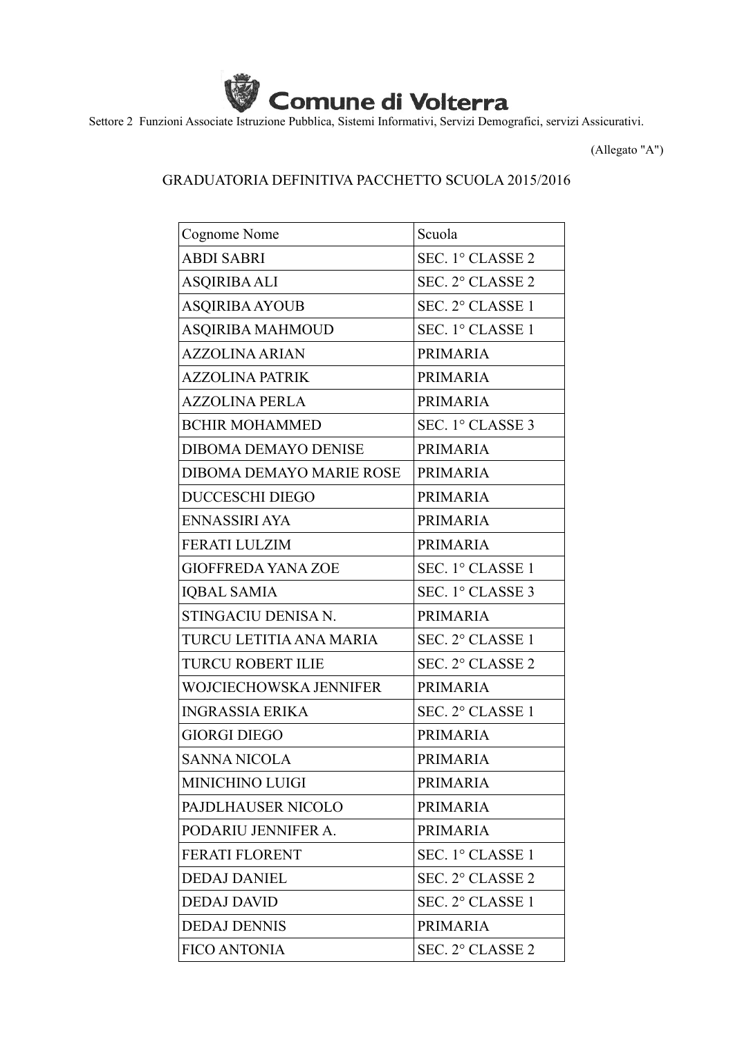

Settore 2 Funzioni Associate Istruzione Pubblica, Sistemi Informativi, Servizi Demografici, servizi Assicurativi.

(Allegato "A")

## GRADUATORIA DEFINITIVA PACCHETTO SCUOLA 2015/2016

| Cognome Nome                | Scuola           |
|-----------------------------|------------------|
| <b>ABDI SABRI</b>           | SEC. 1° CLASSE 2 |
| <b>ASQIRIBA ALI</b>         | SEC. 2° CLASSE 2 |
| <b>ASQIRIBA AYOUB</b>       | SEC. 2° CLASSE 1 |
| <b>ASQIRIBA MAHMOUD</b>     | SEC. 1° CLASSE 1 |
| <b>AZZOLINA ARIAN</b>       | <b>PRIMARIA</b>  |
| <b>AZZOLINA PATRIK</b>      | <b>PRIMARIA</b>  |
| <b>AZZOLINA PERLA</b>       | <b>PRIMARIA</b>  |
| <b>BCHIR MOHAMMED</b>       | SEC. 1° CLASSE 3 |
| <b>DIBOMA DEMAYO DENISE</b> | <b>PRIMARIA</b>  |
| DIBOMA DEMAYO MARIE ROSE    | <b>PRIMARIA</b>  |
| <b>DUCCESCHI DIEGO</b>      | <b>PRIMARIA</b>  |
| ENNASSIRI AYA               | <b>PRIMARIA</b>  |
| <b>FERATI LULZIM</b>        | <b>PRIMARIA</b>  |
| <b>GIOFFREDA YANA ZOE</b>   | SEC. 1° CLASSE 1 |
| <b>IQBAL SAMIA</b>          | SEC. 1° CLASSE 3 |
| STINGACIU DENISA N.         | <b>PRIMARIA</b>  |
| TURCU LETITIA ANA MARIA     | SEC. 2° CLASSE 1 |
| <b>TURCU ROBERT ILIE</b>    | SEC. 2° CLASSE 2 |
| WOJCIECHOWSKA JENNIFER      | <b>PRIMARIA</b>  |
| <b>INGRASSIA ERIKA</b>      | SEC. 2° CLASSE 1 |
| <b>GIORGI DIEGO</b>         | <b>PRIMARIA</b>  |
| <b>SANNA NICOLA</b>         | <b>PRIMARIA</b>  |
| <b>MINICHINO LUIGI</b>      | <b>PRIMARIA</b>  |
| PAJDLHAUSER NICOLO          | <b>PRIMARIA</b>  |
| PODARIU JENNIFER A.         | <b>PRIMARIA</b>  |
| FERATI FLORENT              | SEC. 1° CLASSE 1 |
| <b>DEDAJ DANIEL</b>         | SEC. 2° CLASSE 2 |
| <b>DEDAJ DAVID</b>          | SEC. 2° CLASSE 1 |
| <b>DEDAJ DENNIS</b>         | <b>PRIMARIA</b>  |
| <b>FICO ANTONIA</b>         | SEC. 2° CLASSE 2 |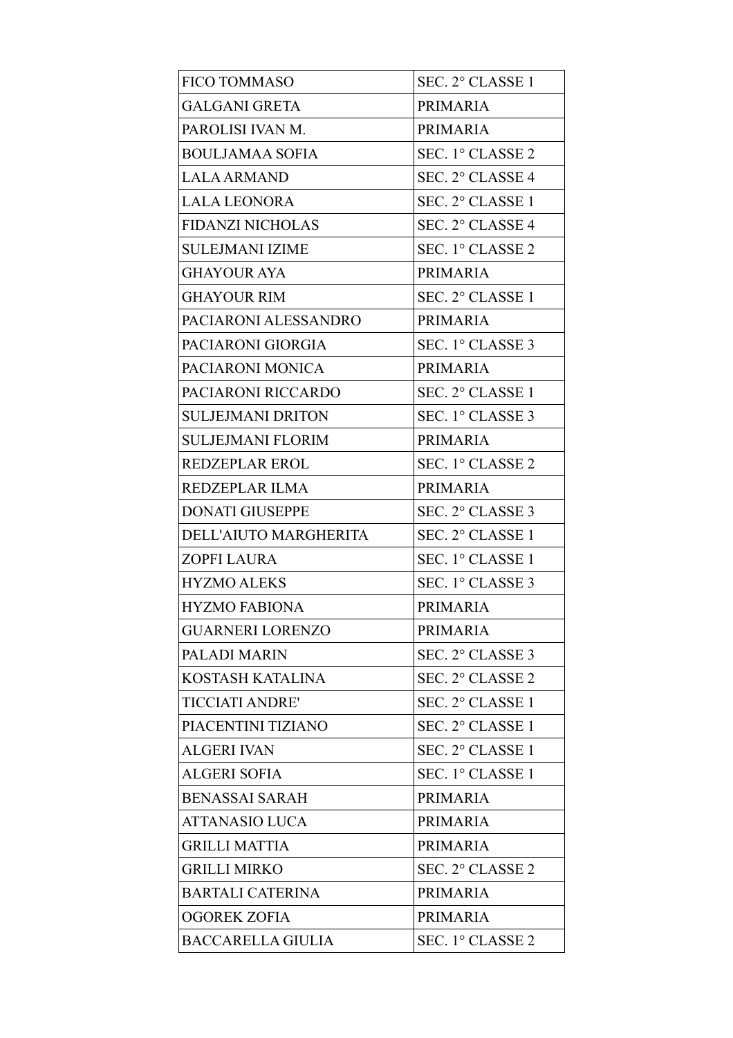| <b>FICO TOMMASO</b>      | SEC. 2° CLASSE 1 |
|--------------------------|------------------|
| <b>GALGANI GRETA</b>     | <b>PRIMARIA</b>  |
| PAROLISI IVAN M.         | <b>PRIMARIA</b>  |
| <b>BOULJAMAA SOFIA</b>   | SEC. 1° CLASSE 2 |
| <b>LALA ARMAND</b>       | SEC. 2° CLASSE 4 |
| <b>LALA LEONORA</b>      | SEC. 2° CLASSE 1 |
| <b>FIDANZI NICHOLAS</b>  | SEC. 2° CLASSE 4 |
| <b>SULEJMANI IZIME</b>   | SEC. 1° CLASSE 2 |
| <b>GHAYOUR AYA</b>       | <b>PRIMARIA</b>  |
| <b>GHAYOUR RIM</b>       | SEC. 2° CLASSE 1 |
| PACIARONI ALESSANDRO     | <b>PRIMARIA</b>  |
| PACIARONI GIORGIA        | SEC. 1° CLASSE 3 |
| PACIARONI MONICA         | <b>PRIMARIA</b>  |
| PACIARONI RICCARDO       | SEC. 2° CLASSE 1 |
| <b>SULJEJMANI DRITON</b> | SEC. 1° CLASSE 3 |
| <b>SULJEJMANI FLORIM</b> | <b>PRIMARIA</b>  |
| <b>REDZEPLAR EROL</b>    | SEC. 1° CLASSE 2 |
| REDZEPLAR ILMA           | <b>PRIMARIA</b>  |
| <b>DONATI GIUSEPPE</b>   | SEC. 2° CLASSE 3 |
| DELL'AIUTO MARGHERITA    | SEC. 2° CLASSE 1 |
| <b>ZOPFI LAURA</b>       | SEC. 1° CLASSE 1 |
| <b>HYZMO ALEKS</b>       | SEC. 1° CLASSE 3 |
| <b>HYZMO FABIONA</b>     | <b>PRIMARIA</b>  |
| <b>GUARNERI LORENZO</b>  | <b>PRIMARIA</b>  |
| PALADI MARIN             | SEC. 2° CLASSE 3 |
| KOSTASH KATALINA         | SEC. 2° CLASSE 2 |
| <b>TICCIATI ANDRE'</b>   | SEC. 2° CLASSE 1 |
| PIACENTINI TIZIANO       | SEC. 2° CLASSE 1 |
| <b>ALGERI IVAN</b>       | SEC. 2° CLASSE 1 |
| <b>ALGERI SOFIA</b>      | SEC. 1° CLASSE 1 |
| <b>BENASSAI SARAH</b>    | <b>PRIMARIA</b>  |
| <b>ATTANASIO LUCA</b>    | <b>PRIMARIA</b>  |
| <b>GRILLI MATTIA</b>     | <b>PRIMARIA</b>  |
| <b>GRILLI MIRKO</b>      | SEC. 2° CLASSE 2 |
| <b>BARTALI CATERINA</b>  | <b>PRIMARIA</b>  |
| <b>OGOREK ZOFIA</b>      | <b>PRIMARIA</b>  |
| <b>BACCARELLA GIULIA</b> | SEC. 1° CLASSE 2 |